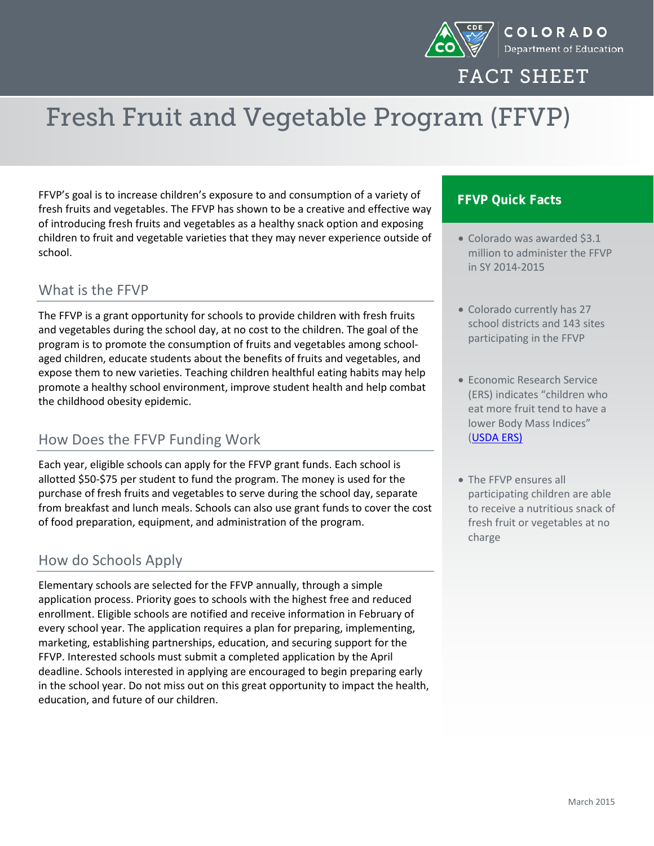

FACT SHEET

# Fresh Fruit and Vegetable Program (FFVP)

FFVP's goal is to increase children's exposure to and consumption of a variety of fresh fruits and vegetables. The FFVP has shown to be a creative and effective way of introducing fresh fruits and vegetables as a healthy snack option and exposing children to fruit and vegetable varieties that they may never experience outside of school.

#### What is the FFVP

The FFVP is a grant opportunity for schools to provide children with fresh fruits and vegetables during the school day, at no cost to the children. The goal of the program is to promote the consumption of fruits and vegetables among schoolaged children, educate students about the benefits of fruits and vegetables, and expose them to new varieties. Teaching children healthful eating habits may help promote a healthy school environment, improve student health and help combat the childhood obesity epidemic.

### How Does the FFVP Funding Work

Each year, eligible schools can apply for the FFVP grant funds. Each school is allotted \$50-\$75 per student to fund the program. The money is used for the purchase of fresh fruits and vegetables to serve during the school day, separate from breakfast and lunch meals. Schools can also use grant funds to cover the cost of food preparation, equipment, and administration of the program.

### How do Schools Apply

Elementary schools are selected for the FFVP annually, through a simple application process. Priority goes to schools with the highest free and reduced enrollment. Eligible schools are notified and receive information in February of every school year. The application requires a plan for preparing, implementing, marketing, establishing partnerships, education, and securing support for the FFVP. Interested schools must submit a completed application by the April deadline. Schools interested in applying are encouraged to begin preparing early in the school year. Do not miss out on this great opportunity to impact the health, education, and future of our children.

#### **FFVP Quick Facts**

- Colorado was awarded \$3.1 million to administer the FFVP in SY 2014-2015
- Colorado currently has 27 school districts and 143 sites participating in the FFVP
- Economic Research Service (ERS) indicates "children who eat more fruit tend to have a lower Body Mass Indices" [\(USDA ERS\)](http://www.ers.usda.gov/topics/food-nutrition-assistance/child-nutrition-programs/usda-fruit-and-vegetable-program.aspx#.UubhRtLn9pg)
- The FFVP ensures all participating children are able to receive a nutritious snack of fresh fruit or vegetables at no charge